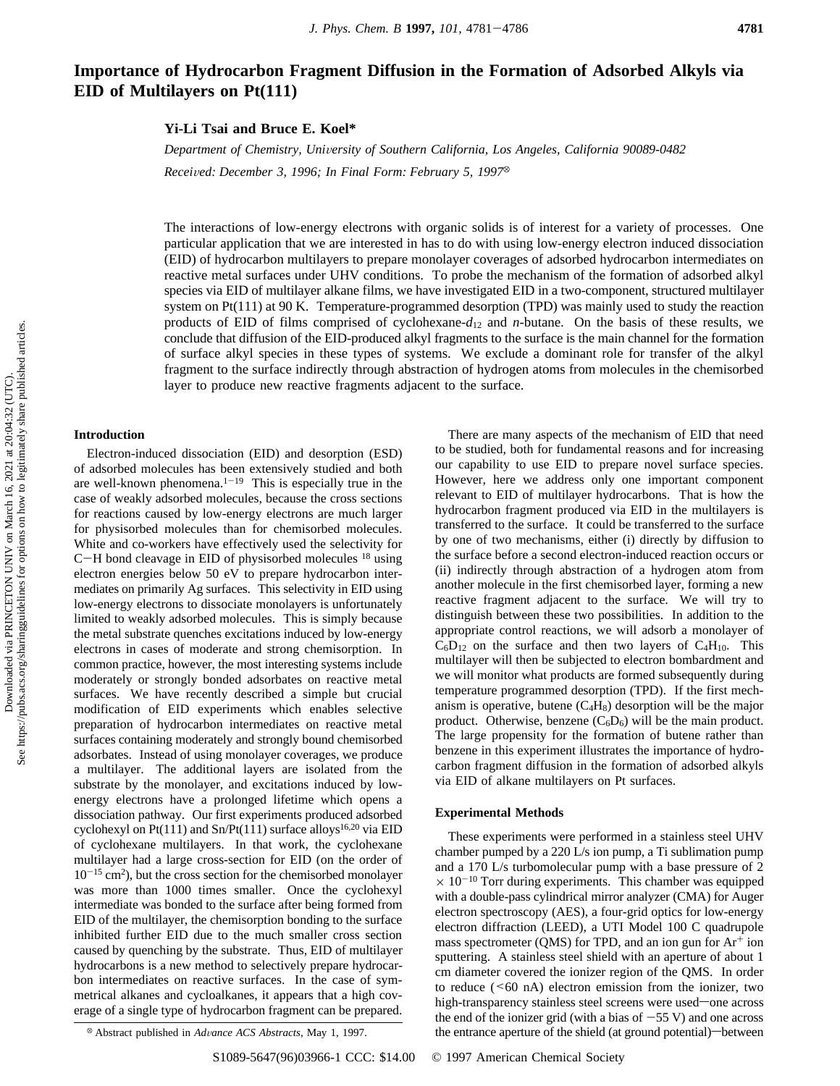# **Importance of Hydrocarbon Fragment Diffusion in the Formation of Adsorbed Alkyls via EID of Multilayers on Pt(111)**

**Yi-Li Tsai and Bruce E. Koel\***

*Department of Chemistry, Uni*V*ersity of Southern California, Los Angeles, California 90089-0482 Received: December 3, 1996; In Final Form: February 5, 1997*<sup>®</sup>

The interactions of low-energy electrons with organic solids is of interest for a variety of processes. One particular application that we are interested in has to do with using low-energy electron induced dissociation (EID) of hydrocarbon multilayers to prepare monolayer coverages of adsorbed hydrocarbon intermediates on reactive metal surfaces under UHV conditions. To probe the mechanism of the formation of adsorbed alkyl species via EID of multilayer alkane films, we have investigated EID in a two-component, structured multilayer system on Pt(111) at 90 K. Temperature-programmed desorption (TPD) was mainly used to study the reaction products of EID of films comprised of cyclohexane- $d_{12}$  and *n*-butane. On the basis of these results, we conclude that diffusion of the EID-produced alkyl fragments to the surface is the main channel for the formation of surface alkyl species in these types of systems. We exclude a dominant role for transfer of the alkyl fragment to the surface indirectly through abstraction of hydrogen atoms from molecules in the chemisorbed layer to produce new reactive fragments adjacent to the surface.

### **Introduction**

Electron-induced dissociation (EID) and desorption (ESD) of adsorbed molecules has been extensively studied and both are well-known phenomena.<sup>1-19</sup> This is especially true in the case of weakly adsorbed molecules, because the cross sections for reactions caused by low-energy electrons are much larger for physisorbed molecules than for chemisorbed molecules. White and co-workers have effectively used the selectivity for C-H bond cleavage in EID of physisorbed molecules <sup>18</sup> using electron energies below 50 eV to prepare hydrocarbon intermediates on primarily Ag surfaces. This selectivity in EID using low-energy electrons to dissociate monolayers is unfortunately limited to weakly adsorbed molecules. This is simply because the metal substrate quenches excitations induced by low-energy electrons in cases of moderate and strong chemisorption. In common practice, however, the most interesting systems include moderately or strongly bonded adsorbates on reactive metal surfaces. We have recently described a simple but crucial modification of EID experiments which enables selective preparation of hydrocarbon intermediates on reactive metal surfaces containing moderately and strongly bound chemisorbed adsorbates. Instead of using monolayer coverages, we produce a multilayer. The additional layers are isolated from the substrate by the monolayer, and excitations induced by lowenergy electrons have a prolonged lifetime which opens a dissociation pathway. Our first experiments produced adsorbed cyclohexyl on Pt(111) and Sn/Pt(111) surface alloys<sup>16,20</sup> via EID of cyclohexane multilayers. In that work, the cyclohexane multilayer had a large cross-section for EID (on the order of  $10^{-15}$  cm<sup>2</sup>), but the cross section for the chemisorbed monolayer was more than 1000 times smaller. Once the cyclohexyl intermediate was bonded to the surface after being formed from EID of the multilayer, the chemisorption bonding to the surface inhibited further EID due to the much smaller cross section caused by quenching by the substrate. Thus, EID of multilayer hydrocarbons is a new method to selectively prepare hydrocarbon intermediates on reactive surfaces. In the case of symmetrical alkanes and cycloalkanes, it appears that a high coverage of a single type of hydrocarbon fragment can be prepared.

There are many aspects of the mechanism of EID that need to be studied, both for fundamental reasons and for increasing our capability to use EID to prepare novel surface species. However, here we address only one important component relevant to EID of multilayer hydrocarbons. That is how the hydrocarbon fragment produced via EID in the multilayers is transferred to the surface. It could be transferred to the surface by one of two mechanisms, either (i) directly by diffusion to the surface before a second electron-induced reaction occurs or (ii) indirectly through abstraction of a hydrogen atom from another molecule in the first chemisorbed layer, forming a new reactive fragment adjacent to the surface. We will try to distinguish between these two possibilities. In addition to the appropriate control reactions, we will adsorb a monolayer of  $C_6D_{12}$  on the surface and then two layers of  $C_4H_{10}$ . This multilayer will then be subjected to electron bombardment and we will monitor what products are formed subsequently during temperature programmed desorption (TPD). If the first mechanism is operative, butene  $(C_4H_8)$  desorption will be the major product. Otherwise, benzene  $(C_6D_6)$  will be the main product. The large propensity for the formation of butene rather than benzene in this experiment illustrates the importance of hydrocarbon fragment diffusion in the formation of adsorbed alkyls via EID of alkane multilayers on Pt surfaces.

### **Experimental Methods**

These experiments were performed in a stainless steel UHV chamber pumped by a 220 L/s ion pump, a Ti sublimation pump and a 170 L/s turbomolecular pump with a base pressure of 2  $\times 10^{-10}$  Torr during experiments. This chamber was equipped with a double-pass cylindrical mirror analyzer (CMA) for Auger electron spectroscopy (AES), a four-grid optics for low-energy electron diffraction (LEED), a UTI Model 100 C quadrupole mass spectrometer (QMS) for TPD, and an ion gun for  $Ar^+$  ion sputtering. A stainless steel shield with an aperture of about 1 cm diameter covered the ionizer region of the QMS. In order to reduce  $(560 \text{ nA})$  electron emission from the ionizer, two high-transparency stainless steel screens were used—one across the end of the ionizer grid (with a bias of  $-55$  V) and one across <sup>®</sup> Abstract published in *Advance ACS Abstracts*, May 1, 1997. the entrance aperture of the shield (at ground potential)—between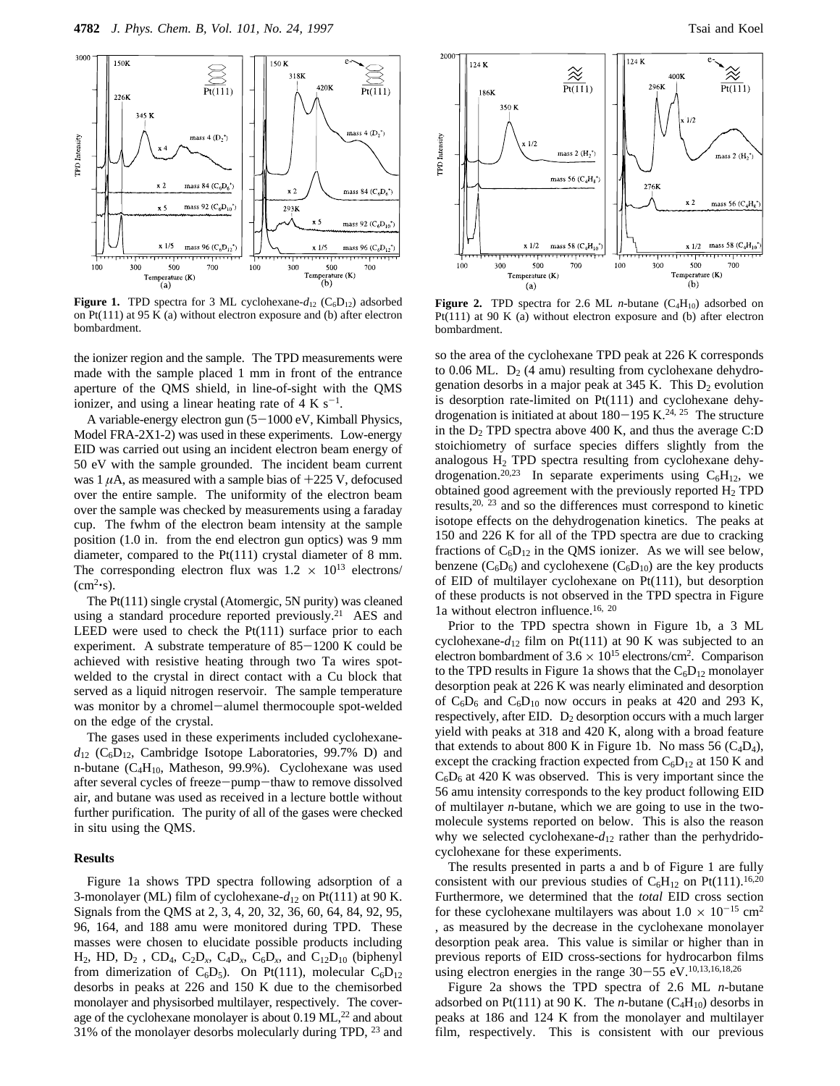

**Figure 1.** TPD spectra for 3 ML cyclohexane- $d_{12}$  (C<sub>6</sub>D<sub>12</sub>) adsorbed on Pt(111) at 95 K (a) without electron exposure and (b) after electron bombardment.

the ionizer region and the sample. The TPD measurements were made with the sample placed 1 mm in front of the entrance aperture of the QMS shield, in line-of-sight with the QMS ionizer, and using a linear heating rate of 4 K  $s^{-1}$ .

A variable-energy electron gun  $(5-1000 \text{ eV}$ , Kimball Physics, Model FRA-2X1-2) was used in these experiments. Low-energy EID was carried out using an incident electron beam energy of 50 eV with the sample grounded. The incident beam current was  $1 \mu$ A, as measured with a sample bias of  $+225$  V, defocused over the entire sample. The uniformity of the electron beam over the sample was checked by measurements using a faraday cup. The fwhm of the electron beam intensity at the sample position (1.0 in. from the end electron gun optics) was 9 mm diameter, compared to the Pt(111) crystal diameter of 8 mm. The corresponding electron flux was  $1.2 \times 10^{13}$  electrons/  $(cm<sup>2</sup>·s).$ 

The Pt(111) single crystal (Atomergic, 5N purity) was cleaned using a standard procedure reported previously.<sup>21</sup> AES and LEED were used to check the Pt(111) surface prior to each experiment. A substrate temperature of  $85-1200$  K could be achieved with resistive heating through two Ta wires spotwelded to the crystal in direct contact with a Cu block that served as a liquid nitrogen reservoir. The sample temperature was monitor by a chromel-alumel thermocouple spot-welded on the edge of the crystal.

The gases used in these experiments included cyclohexane $d_{12}$  (C<sub>6</sub>D<sub>12</sub>, Cambridge Isotope Laboratories, 99.7% D) and n-butane (C4H10, Matheson, 99.9%). Cyclohexane was used after several cycles of freeze-pump-thaw to remove dissolved air, and butane was used as received in a lecture bottle without further purification. The purity of all of the gases were checked in situ using the QMS.

## **Results**

Figure 1a shows TPD spectra following adsorption of a 3-monolayer (ML) film of cyclohexane-*d*<sup>12</sup> on Pt(111) at 90 K. Signals from the QMS at 2, 3, 4, 20, 32, 36, 60, 64, 84, 92, 95, 96, 164, and 188 amu were monitored during TPD. These masses were chosen to elucidate possible products including  $H_2$ , HD,  $D_2$ ,  $CD_4$ ,  $C_2D_x$ ,  $C_4D_x$ ,  $C_6D_x$ , and  $C_{12}D_{10}$  (biphenyl from dimerization of C<sub>6</sub>D<sub>5</sub>). On Pt(111), molecular C<sub>6</sub>D<sub>12</sub> desorbs in peaks at 226 and 150 K due to the chemisorbed monolayer and physisorbed multilayer, respectively. The coverage of the cyclohexane monolayer is about  $0.19$  ML, $^{22}$  and about 31% of the monolayer desorbs molecularly during TPD, <sup>23</sup> and



**Figure 2.** TPD spectra for 2.6 ML *n*-butane  $(C_4H_{10})$  adsorbed on Pt(111) at 90 K (a) without electron exposure and (b) after electron bombardment.

so the area of the cyclohexane TPD peak at 226 K corresponds to  $0.06$  ML.  $D_2$  (4 amu) resulting from cyclohexane dehydrogenation desorbs in a major peak at  $345$  K. This  $D_2$  evolution is desorption rate-limited on Pt(111) and cyclohexane dehydrogenation is initiated at about  $180-195$  K.<sup>24, 25</sup> The structure in the  $D_2$  TPD spectra above 400 K, and thus the average C:D stoichiometry of surface species differs slightly from the analogous H2 TPD spectra resulting from cyclohexane dehydrogenation.<sup>20,23</sup> In separate experiments using  $C_6H_{12}$ , we obtained good agreement with the previously reported H<sub>2</sub> TPD results,20, 23 and so the differences must correspond to kinetic isotope effects on the dehydrogenation kinetics. The peaks at 150 and 226 K for all of the TPD spectra are due to cracking fractions of  $C_6D_{12}$  in the QMS ionizer. As we will see below, benzene  $(C_6D_6)$  and cyclohexene  $(C_6D_{10})$  are the key products of EID of multilayer cyclohexane on Pt(111), but desorption of these products is not observed in the TPD spectra in Figure 1a without electron influence.16, 20

Prior to the TPD spectra shown in Figure 1b, a 3 ML cyclohexane- $d_{12}$  film on Pt(111) at 90 K was subjected to an electron bombardment of  $3.6 \times 10^{15}$  electrons/cm<sup>2</sup>. Comparison to the TPD results in Figure 1a shows that the  $C_6D_{12}$  monolayer desorption peak at 226 K was nearly eliminated and desorption of  $C_6D_6$  and  $C_6D_{10}$  now occurs in peaks at 420 and 293 K, respectively, after EID.  $D_2$  desorption occurs with a much larger yield with peaks at 318 and 420 K, along with a broad feature that extends to about 800 K in Figure 1b. No mass 56  $(C_4D_4)$ , except the cracking fraction expected from  $C_6D_{12}$  at 150 K and  $C_6D_6$  at 420 K was observed. This is very important since the 56 amu intensity corresponds to the key product following EID of multilayer *n*-butane, which we are going to use in the twomolecule systems reported on below. This is also the reason why we selected cyclohexane- $d_{12}$  rather than the perhydridocyclohexane for these experiments.

The results presented in parts a and b of Figure 1 are fully consistent with our previous studies of  $C_6H_{12}$  on Pt(111).<sup>16,20</sup> Furthermore, we determined that the *total* EID cross section for these cyclohexane multilayers was about  $1.0 \times 10^{-15}$  cm<sup>2</sup> , as measured by the decrease in the cyclohexane monolayer desorption peak area. This value is similar or higher than in previous reports of EID cross-sections for hydrocarbon films using electron energies in the range  $30-55$  eV.<sup>10,13,16,18,26</sup>

Figure 2a shows the TPD spectra of 2.6 ML *n*-butane adsorbed on Pt(111) at 90 K. The *n*-butane  $(C_4H_{10})$  desorbs in peaks at 186 and 124 K from the monolayer and multilayer film, respectively. This is consistent with our previous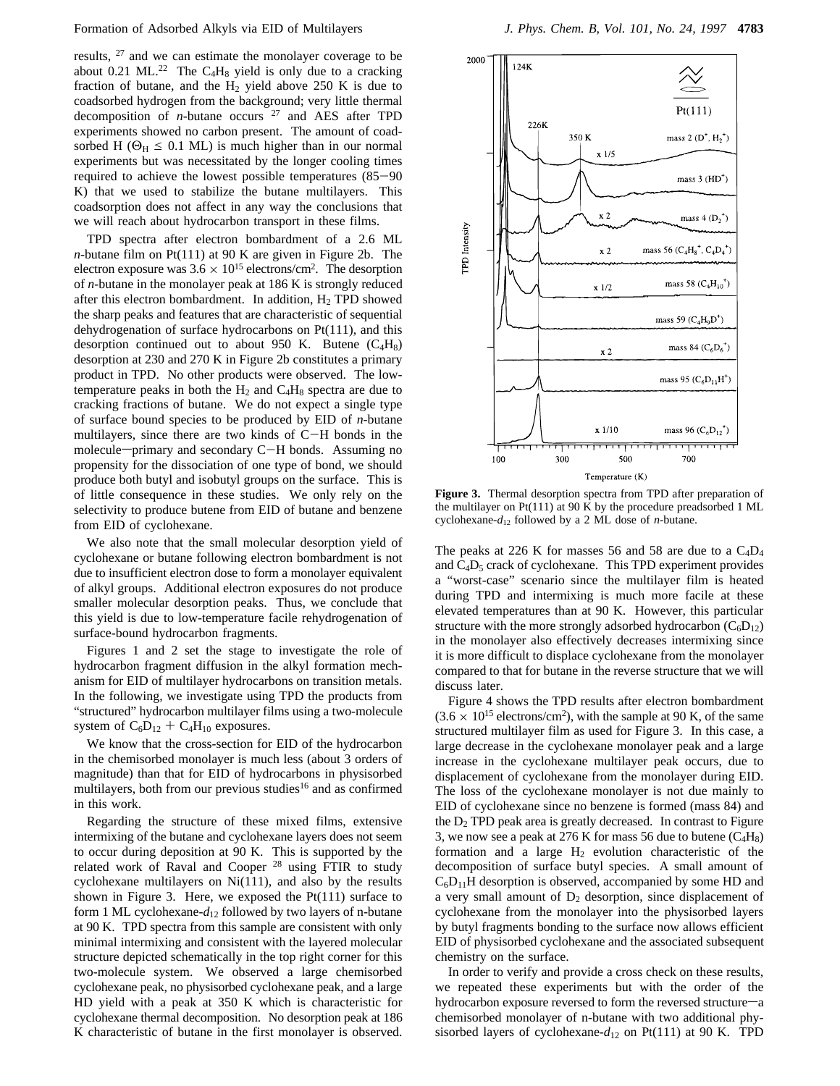results, <sup>27</sup> and we can estimate the monolayer coverage to be about 0.21 ML.<sup>22</sup> The C<sub>4</sub>H<sub>8</sub> yield is only due to a cracking fraction of butane, and the  $H_2$  yield above 250 K is due to coadsorbed hydrogen from the background; very little thermal decomposition of *n*-butane occurs <sup>27</sup> and AES after TPD experiments showed no carbon present. The amount of coadsorbed H ( $\Theta_H \leq 0.1$  ML) is much higher than in our normal experiments but was necessitated by the longer cooling times required to achieve the lowest possible temperatures (85-90 K) that we used to stabilize the butane multilayers. This coadsorption does not affect in any way the conclusions that we will reach about hydrocarbon transport in these films.

TPD spectra after electron bombardment of a 2.6 ML *n*-butane film on Pt(111) at 90 K are given in Figure 2b. The electron exposure was  $3.6 \times 10^{15}$  electrons/cm<sup>2</sup>. The desorption of *n*-butane in the monolayer peak at 186 K is strongly reduced after this electron bombardment. In addition,  $H_2$  TPD showed the sharp peaks and features that are characteristic of sequential dehydrogenation of surface hydrocarbons on Pt(111), and this desorption continued out to about 950 K. Butene  $(C_4H_8)$ desorption at 230 and 270 K in Figure 2b constitutes a primary product in TPD. No other products were observed. The lowtemperature peaks in both the  $H_2$  and  $C_4H_8$  spectra are due to cracking fractions of butane. We do not expect a single type of surface bound species to be produced by EID of *n*-butane multilayers, since there are two kinds of C-H bonds in the molecule-primary and secondary  $C-H$  bonds. Assuming no propensity for the dissociation of one type of bond, we should produce both butyl and isobutyl groups on the surface. This is of little consequence in these studies. We only rely on the selectivity to produce butene from EID of butane and benzene from EID of cyclohexane.

We also note that the small molecular desorption yield of cyclohexane or butane following electron bombardment is not due to insufficient electron dose to form a monolayer equivalent of alkyl groups. Additional electron exposures do not produce smaller molecular desorption peaks. Thus, we conclude that this yield is due to low-temperature facile rehydrogenation of surface-bound hydrocarbon fragments.

Figures 1 and 2 set the stage to investigate the role of hydrocarbon fragment diffusion in the alkyl formation mechanism for EID of multilayer hydrocarbons on transition metals. In the following, we investigate using TPD the products from "structured" hydrocarbon multilayer films using a two-molecule system of  $C_6D_{12} + C_4H_{10}$  exposures.

We know that the cross-section for EID of the hydrocarbon in the chemisorbed monolayer is much less (about 3 orders of magnitude) than that for EID of hydrocarbons in physisorbed multilayers, both from our previous studies<sup>16</sup> and as confirmed in this work.

Regarding the structure of these mixed films, extensive intermixing of the butane and cyclohexane layers does not seem to occur during deposition at 90 K. This is supported by the related work of Raval and Cooper <sup>28</sup> using FTIR to study cyclohexane multilayers on  $Ni(111)$ , and also by the results shown in Figure 3. Here, we exposed the  $Pt(111)$  surface to form 1 ML cyclohexane-*d*<sup>12</sup> followed by two layers of n-butane at 90 K. TPD spectra from this sample are consistent with only minimal intermixing and consistent with the layered molecular structure depicted schematically in the top right corner for this two-molecule system. We observed a large chemisorbed cyclohexane peak, no physisorbed cyclohexane peak, and a large HD yield with a peak at 350 K which is characteristic for cyclohexane thermal decomposition. No desorption peak at 186 K characteristic of butane in the first monolayer is observed.



**Figure 3.** Thermal desorption spectra from TPD after preparation of the multilayer on Pt(111) at 90 K by the procedure preadsorbed 1 ML cyclohexane-*d*<sup>12</sup> followed by a 2 ML dose of *n*-butane.

The peaks at 226 K for masses 56 and 58 are due to a  $C_4D_4$ and C<sub>4</sub>D<sub>5</sub> crack of cyclohexane. This TPD experiment provides a "worst-case" scenario since the multilayer film is heated during TPD and intermixing is much more facile at these elevated temperatures than at 90 K. However, this particular structure with the more strongly adsorbed hydrocarbon  $(C_6D_{12})$ in the monolayer also effectively decreases intermixing since it is more difficult to displace cyclohexane from the monolayer compared to that for butane in the reverse structure that we will discuss later.

Figure 4 shows the TPD results after electron bombardment  $(3.6 \times 10^{15} \text{ electrons/cm}^2)$ , with the sample at 90 K, of the same structured multilayer film as used for Figure 3. In this case, a large decrease in the cyclohexane monolayer peak and a large increase in the cyclohexane multilayer peak occurs, due to displacement of cyclohexane from the monolayer during EID. The loss of the cyclohexane monolayer is not due mainly to EID of cyclohexane since no benzene is formed (mass 84) and the  $D_2$  TPD peak area is greatly decreased. In contrast to Figure 3, we now see a peak at 276 K for mass 56 due to butene  $(C_4H_8)$ formation and a large  $H_2$  evolution characteristic of the decomposition of surface butyl species. A small amount of  $C_6D_{11}H$  desorption is observed, accompanied by some HD and a very small amount of  $D_2$  desorption, since displacement of cyclohexane from the monolayer into the physisorbed layers by butyl fragments bonding to the surface now allows efficient EID of physisorbed cyclohexane and the associated subsequent chemistry on the surface.

In order to verify and provide a cross check on these results, we repeated these experiments but with the order of the hydrocarbon exposure reversed to form the reversed structure-a chemisorbed monolayer of n-butane with two additional physisorbed layers of cyclohexane-*d*<sup>12</sup> on Pt(111) at 90 K. TPD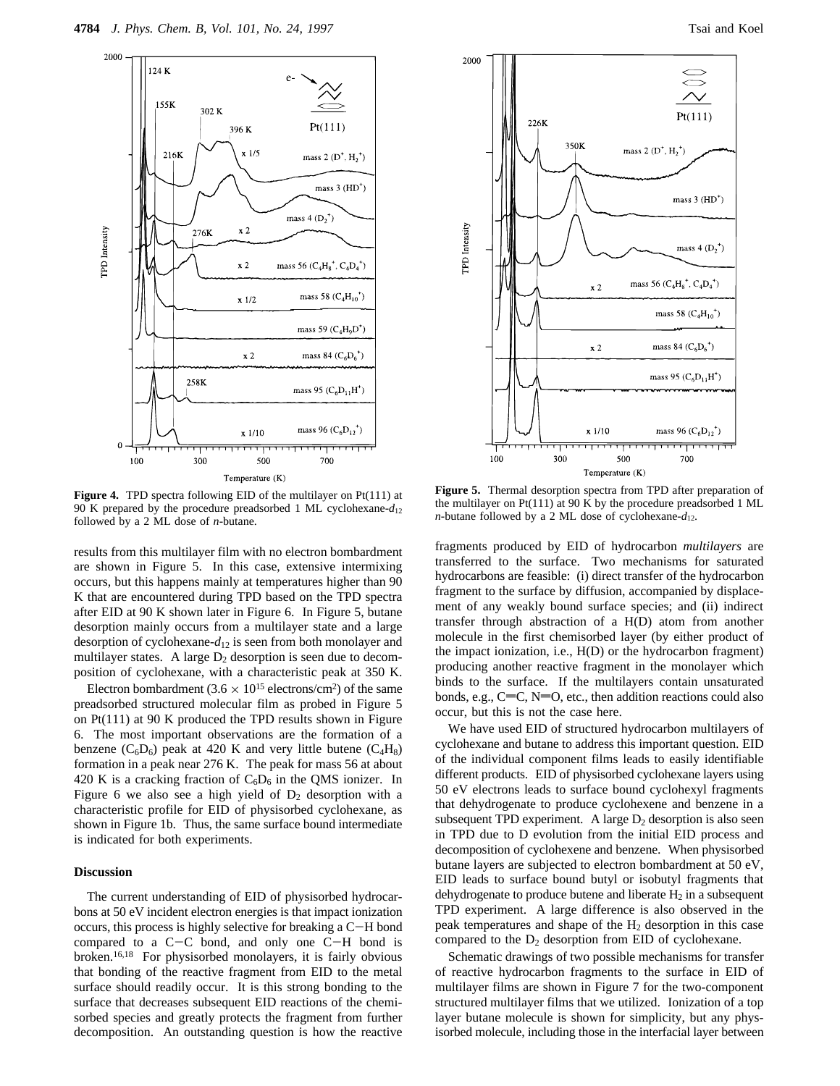

**Figure 4.** TPD spectra following EID of the multilayer on Pt(111) at 90 K prepared by the procedure preadsorbed 1 ML cyclohexane-*d*<sup>12</sup> followed by a 2 ML dose of *n*-butane.

results from this multilayer film with no electron bombardment are shown in Figure 5. In this case, extensive intermixing occurs, but this happens mainly at temperatures higher than 90 K that are encountered during TPD based on the TPD spectra after EID at 90 K shown later in Figure 6. In Figure 5, butane desorption mainly occurs from a multilayer state and a large desorption of cyclohexane-*d*<sup>12</sup> is seen from both monolayer and multilayer states. A large  $D_2$  desorption is seen due to decomposition of cyclohexane, with a characteristic peak at 350 K.

Electron bombardment  $(3.6 \times 10^{15} \text{ electrons/cm}^2)$  of the same preadsorbed structured molecular film as probed in Figure 5 on Pt(111) at 90 K produced the TPD results shown in Figure 6. The most important observations are the formation of a benzene  $(C_6D_6)$  peak at 420 K and very little butene  $(C_4H_8)$ formation in a peak near 276 K. The peak for mass 56 at about 420 K is a cracking fraction of  $C_6D_6$  in the QMS ionizer. In Figure 6 we also see a high yield of  $D_2$  desorption with a characteristic profile for EID of physisorbed cyclohexane, as shown in Figure 1b. Thus, the same surface bound intermediate is indicated for both experiments.

### **Discussion**

The current understanding of EID of physisorbed hydrocarbons at 50 eV incident electron energies is that impact ionization occurs, this process is highly selective for breaking a C-H bond compared to a C-C bond, and only one C-H bond is broken.16,18 For physisorbed monolayers, it is fairly obvious that bonding of the reactive fragment from EID to the metal surface should readily occur. It is this strong bonding to the surface that decreases subsequent EID reactions of the chemisorbed species and greatly protects the fragment from further decomposition. An outstanding question is how the reactive



**Figure 5.** Thermal desorption spectra from TPD after preparation of the multilayer on Pt(111) at 90 K by the procedure preadsorbed 1 ML *n*-butane followed by a 2 ML dose of cyclohexane- $d_{12}$ .

fragments produced by EID of hydrocarbon *multilayers* are transferred to the surface. Two mechanisms for saturated hydrocarbons are feasible: (i) direct transfer of the hydrocarbon fragment to the surface by diffusion, accompanied by displacement of any weakly bound surface species; and (ii) indirect transfer through abstraction of a H(D) atom from another molecule in the first chemisorbed layer (by either product of the impact ionization, i.e., H(D) or the hydrocarbon fragment) producing another reactive fragment in the monolayer which binds to the surface. If the multilayers contain unsaturated bonds, e.g.,  $C=C$ ,  $N=O$ , etc., then addition reactions could also occur, but this is not the case here.

We have used EID of structured hydrocarbon multilayers of cyclohexane and butane to address this important question. EID of the individual component films leads to easily identifiable different products. EID of physisorbed cyclohexane layers using 50 eV electrons leads to surface bound cyclohexyl fragments that dehydrogenate to produce cyclohexene and benzene in a subsequent TPD experiment. A large  $D_2$  desorption is also seen in TPD due to D evolution from the initial EID process and decomposition of cyclohexene and benzene. When physisorbed butane layers are subjected to electron bombardment at 50 eV, EID leads to surface bound butyl or isobutyl fragments that dehydrogenate to produce butene and liberate  $H_2$  in a subsequent TPD experiment. A large difference is also observed in the peak temperatures and shape of the  $H_2$  desorption in this case compared to the  $D_2$  desorption from EID of cyclohexane.

Schematic drawings of two possible mechanisms for transfer of reactive hydrocarbon fragments to the surface in EID of multilayer films are shown in Figure 7 for the two-component structured multilayer films that we utilized. Ionization of a top layer butane molecule is shown for simplicity, but any physisorbed molecule, including those in the interfacial layer between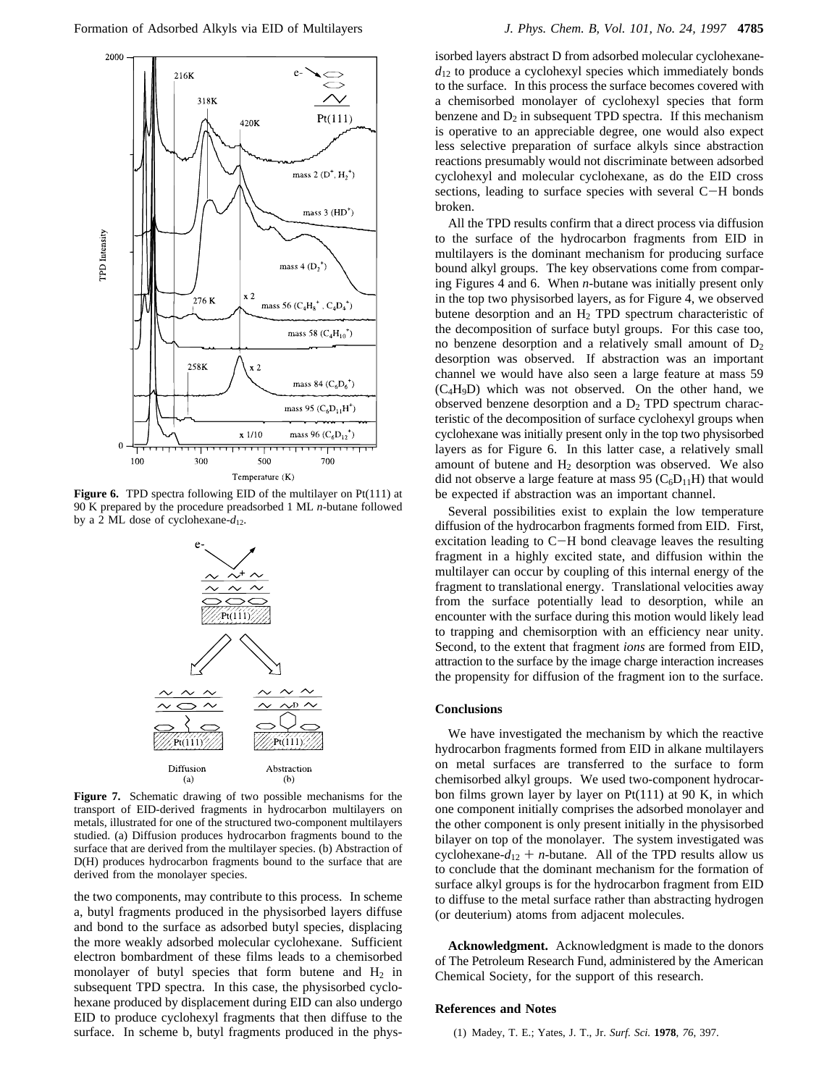

**Figure 6.** TPD spectra following EID of the multilayer on Pt(111) at 90 K prepared by the procedure preadsorbed 1 ML *n*-butane followed by a 2 ML dose of cyclohexane-*d*12.



**Figure 7.** Schematic drawing of two possible mechanisms for the transport of EID-derived fragments in hydrocarbon multilayers on metals, illustrated for one of the structured two-component multilayers studied. (a) Diffusion produces hydrocarbon fragments bound to the surface that are derived from the multilayer species. (b) Abstraction of D(H) produces hydrocarbon fragments bound to the surface that are derived from the monolayer species.

the two components, may contribute to this process. In scheme a, butyl fragments produced in the physisorbed layers diffuse and bond to the surface as adsorbed butyl species, displacing the more weakly adsorbed molecular cyclohexane. Sufficient electron bombardment of these films leads to a chemisorbed monolayer of butyl species that form butene and  $H_2$  in subsequent TPD spectra. In this case, the physisorbed cyclohexane produced by displacement during EID can also undergo EID to produce cyclohexyl fragments that then diffuse to the surface. In scheme b, butyl fragments produced in the phys-

isorbed layers abstract D from adsorbed molecular cyclohexane $d_{12}$  to produce a cyclohexyl species which immediately bonds to the surface. In this process the surface becomes covered with a chemisorbed monolayer of cyclohexyl species that form benzene and  $D_2$  in subsequent TPD spectra. If this mechanism is operative to an appreciable degree, one would also expect less selective preparation of surface alkyls since abstraction reactions presumably would not discriminate between adsorbed cyclohexyl and molecular cyclohexane, as do the EID cross sections, leading to surface species with several C-H bonds broken.

All the TPD results confirm that a direct process via diffusion to the surface of the hydrocarbon fragments from EID in multilayers is the dominant mechanism for producing surface bound alkyl groups. The key observations come from comparing Figures 4 and 6. When *n*-butane was initially present only in the top two physisorbed layers, as for Figure 4, we observed butene desorption and an  $H_2$  TPD spectrum characteristic of the decomposition of surface butyl groups. For this case too, no benzene desorption and a relatively small amount of  $D<sub>2</sub>$ desorption was observed. If abstraction was an important channel we would have also seen a large feature at mass 59 (C4H9D) which was not observed. On the other hand, we observed benzene desorption and a  $D_2$  TPD spectrum characteristic of the decomposition of surface cyclohexyl groups when cyclohexane was initially present only in the top two physisorbed layers as for Figure 6. In this latter case, a relatively small amount of butene and  $H_2$  desorption was observed. We also did not observe a large feature at mass 95 ( $C_6D_{11}H$ ) that would be expected if abstraction was an important channel.

Several possibilities exist to explain the low temperature diffusion of the hydrocarbon fragments formed from EID. First, excitation leading to C-H bond cleavage leaves the resulting fragment in a highly excited state, and diffusion within the multilayer can occur by coupling of this internal energy of the fragment to translational energy. Translational velocities away from the surface potentially lead to desorption, while an encounter with the surface during this motion would likely lead to trapping and chemisorption with an efficiency near unity. Second, to the extent that fragment *ions* are formed from EID, attraction to the surface by the image charge interaction increases the propensity for diffusion of the fragment ion to the surface.

### **Conclusions**

We have investigated the mechanism by which the reactive hydrocarbon fragments formed from EID in alkane multilayers on metal surfaces are transferred to the surface to form chemisorbed alkyl groups. We used two-component hydrocarbon films grown layer by layer on Pt(111) at 90 K, in which one component initially comprises the adsorbed monolayer and the other component is only present initially in the physisorbed bilayer on top of the monolayer. The system investigated was cyclohexane- $d_{12}$  + *n*-butane. All of the TPD results allow us to conclude that the dominant mechanism for the formation of surface alkyl groups is for the hydrocarbon fragment from EID to diffuse to the metal surface rather than abstracting hydrogen (or deuterium) atoms from adjacent molecules.

**Acknowledgment.** Acknowledgment is made to the donors of The Petroleum Research Fund, administered by the American Chemical Society, for the support of this research.

### **References and Notes**

(1) Madey, T. E.; Yates, J. T., Jr. *Surf. Sci.* **1978**, *76*, 397.